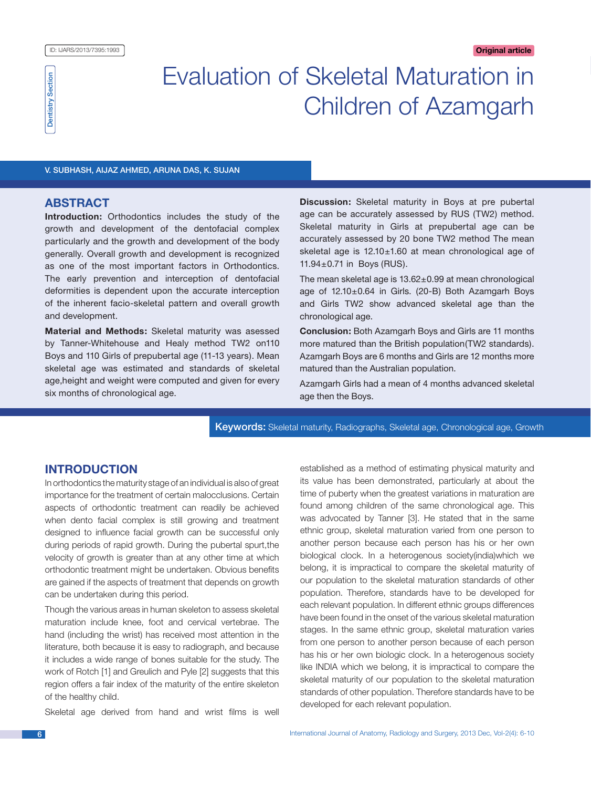# Evaluation of Skeletal Maturation in Children of Azamgarh

V. Subhash, Aijaz Ahmed, Aruna Das, K. Sujan

# **ABSTRACT**

**Introduction:** Orthodontics includes the study of the growth and development of the dentofacial complex particularly and the growth and development of the body generally. Overall growth and development is recognized as one of the most important factors in Orthodontics. The early prevention and interception of dentofacial deformities is dependent upon the accurate interception of the inherent facio-skeletal pattern and overall growth and development.

**Material and Methods:** Skeletal maturity was asessed by Tanner-Whitehouse and Healy method TW2 on110 Boys and 110 Girls of prepubertal age (11-13 years). Mean skeletal age was estimated and standards of skeletal age,height and weight were computed and given for every six months of chronological age.

**Discussion:** Skeletal maturity in Boys at pre pubertal age can be accurately assessed by RUS (TW2) method. Skeletal maturity in Girls at prepubertal age can be accurately assessed by 20 bone TW2 method The mean skeletal age is 12.10±1.60 at mean chronological age of 11.94±0.71 in Boys (RUS).

The mean skeletal age is 13.62±0.99 at mean chronological age of 12.10±0.64 in Girls. (20-B) Both Azamgarh Boys and Girls TW2 show advanced skeletal age than the chronological age.

**Conclusion:** Both Azamgarh Boys and Girls are 11 months more matured than the British population(TW2 standards). Azamgarh Boys are 6 months and Girls are 12 months more matured than the Australian population.

Azamgarh Girls had a mean of 4 months advanced skeletal age then the Boys.

Keywords: Skeletal maturity, Radiographs, Skeletal age, Chronological age, Growth

# **INTRODUCTION**

In orthodontics the maturity stage of an individual is also of great importance for the treatment of certain malocclusions. Certain aspects of orthodontic treatment can readily be achieved when dento facial complex is still growing and treatment designed to influence facial growth can be successful only during periods of rapid growth. During the pubertal spurt,the velocity of growth is greater than at any other time at which orthodontic treatment might be undertaken. Obvious benefits are gained if the aspects of treatment that depends on growth can be undertaken during this period.

Though the various areas in human skeleton to assess skeletal maturation include knee, foot and cervical vertebrae. The hand (including the wrist) has received most attention in the literature, both because it is easy to radiograph, and because it includes a wide range of bones suitable for the study. The work of Rotch [1] and Greulich and Pyle [2] suggests that this region offers a fair index of the maturity of the entire skeleton of the healthy child.

Skeletal age derived from hand and wrist films is well

established as a method of estimating physical maturity and its value has been demonstrated, particularly at about the time of puberty when the greatest variations in maturation are found among children of the same chronological age. This was advocated by Tanner [3]. He stated that in the same ethnic group, skeletal maturation varied from one person to another person because each person has his or her own biological clock. In a heterogenous society(india)which we belong, it is impractical to compare the skeletal maturity of our population to the skeletal maturation standards of other population. Therefore, standards have to be developed for each relevant population. In different ethnic groups differences have been found in the onset of the various skeletal maturation stages. In the same ethnic group, skeletal maturation varies from one person to another person because of each person has his or her own biologic clock. In a heterogenous society like INDIA which we belong, it is impractical to compare the skeletal maturity of our population to the skeletal maturation standards of other population. Therefore standards have to be developed for each relevant population.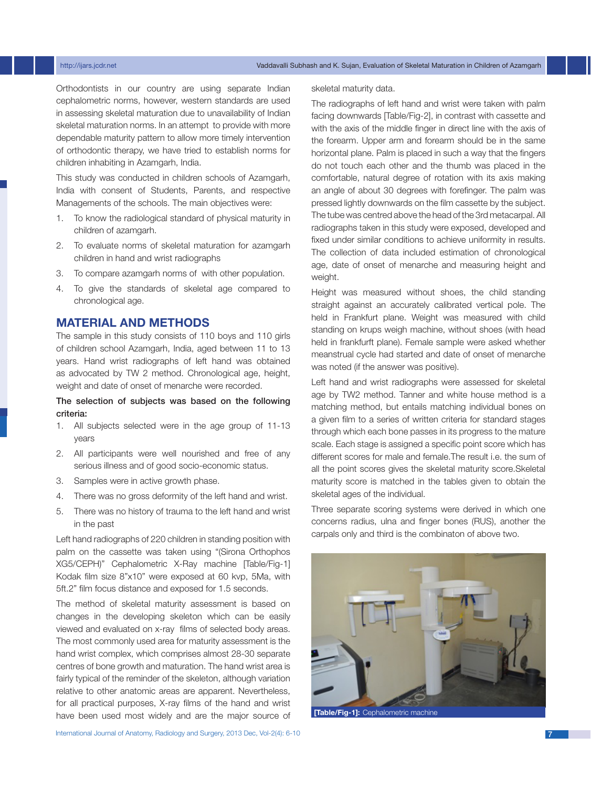Orthodontists in our country are using separate Indian cephalometric norms, however, western standards are used in assessing skeletal maturation due to unavailability of Indian skeletal maturation norms. In an attempt to provide with more dependable maturity pattern to allow more timely intervention of orthodontic therapy, we have tried to establish norms for children inhabiting in Azamgarh, India.

This study was conducted in children schools of Azamgarh, India with consent of Students, Parents, and respective Managements of the schools. The main objectives were:

- 1. To know the radiological standard of physical maturity in children of azamgarh.
- 2. To evaluate norms of skeletal maturation for azamgarh children in hand and wrist radiographs
- 3. To compare azamgarh norms of with other population.
- 4. To give the standards of skeletal age compared to chronological age.

# **MATERIAL AND METHODs**

The sample in this study consists of 110 boys and 110 girls of children school Azamgarh, India, aged between 11 to 13 years. Hand wrist radiographs of left hand was obtained as advocated by TW 2 method. Chronological age, height, weight and date of onset of menarche were recorded.

# The selection of subjects was based on the following criteria:

- 1. All subjects selected were in the age group of 11-13 years
- 2. All participants were well nourished and free of any serious illness and of good socio-economic status.
- 3. Samples were in active growth phase.
- 4. There was no gross deformity of the left hand and wrist.
- 5. There was no history of trauma to the left hand and wrist in the past

Left hand radiographs of 220 children in standing position with palm on the cassette was taken using "(Sirona Orthophos XG5/CEPH)" Cephalometric X-Ray machine [Table/Fig-1] Kodak film size 8"x10" were exposed at 60 kvp, 5Ma, with 5ft.2" film focus distance and exposed for 1.5 seconds.

The method of skeletal maturity assessment is based on changes in the developing skeleton which can be easily viewed and evaluated on x-ray films of selected body areas. The most commonly used area for maturity assessment is the hand wrist complex, which comprises almost 28-30 separate centres of bone growth and maturation. The hand wrist area is fairly typical of the reminder of the skeleton, although variation relative to other anatomic areas are apparent. Nevertheless, for all practical purposes, X-ray films of the hand and wrist have been used most widely and are the major source of The radiographs of left hand and wrist were taken with palm facing downwards [Table/Fig-2], in contrast with cassette and with the axis of the middle finger in direct line with the axis of the forearm. Upper arm and forearm should be in the same horizontal plane. Palm is placed in such a way that the fingers do not touch each other and the thumb was placed in the comfortable, natural degree of rotation with its axis making an angle of about 30 degrees with forefinger. The palm was pressed lightly downwards on the film cassette by the subject. The tube was centred above the head of the 3rd metacarpal. All radiographs taken in this study were exposed, developed and fixed under similar conditions to achieve uniformity in results. The collection of data included estimation of chronological age, date of onset of menarche and measuring height and weight.

Height was measured without shoes, the child standing straight against an accurately calibrated vertical pole. The held in Frankfurt plane. Weight was measured with child standing on krups weigh machine, without shoes (with head held in frankfurft plane). Female sample were asked whether meanstrual cycle had started and date of onset of menarche was noted (if the answer was positive).

Left hand and wrist radiographs were assessed for skeletal age by TW2 method. Tanner and white house method is a matching method, but entails matching individual bones on a given film to a series of written criteria for standard stages through which each bone passes in its progress to the mature scale. Each stage is assigned a specific point score which has different scores for male and female.The result i.e. the sum of all the point scores gives the skeletal maturity score.Skeletal maturity score is matched in the tables given to obtain the skeletal ages of the individual.

Three separate scoring systems were derived in which one concerns radius, ulna and finger bones (RUS), another the carpals only and third is the combinaton of above two.



**[Table/Fig-1]:** Cephalometric machine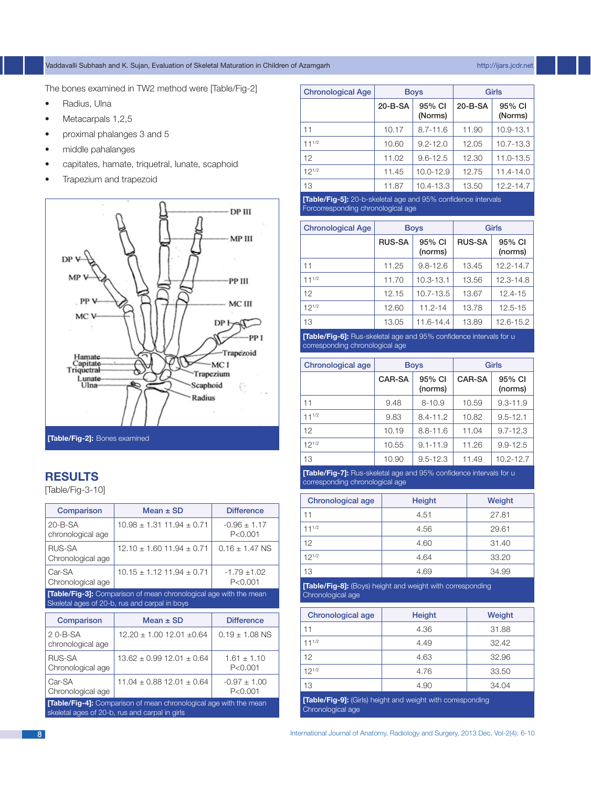# Vaddavalli Subhash and K. Sujan, Evaluation of Skeletal Maturation in Children of Azamgarh http://ijars.jcdr.net

The bones examined in TW2 method were [Table/Fig-2]

- Radius, Ulna
- Metacarpals 1,2,5
- proximal phalanges 3 and 5
- • middle pahalanges
- • capitates, hamate, triquetral, lunate, scaphoid
- Trapezium and trapezoid



# **REsults**

[Table/Fig-3-10]

| Comparison                                                                                                                | Mean $\pm$ SD                     | <b>Difference</b>             |  |
|---------------------------------------------------------------------------------------------------------------------------|-----------------------------------|-------------------------------|--|
| $20 - B - SA$<br>chronological age                                                                                        | $10.98 \pm 1.31$ 11.94 $\pm$ 0.71 | $-0.96 \pm 1.17$<br>P < 0.001 |  |
| RUS-SA<br>Chronological age                                                                                               | $12.10 + 1.60$ 11.94 $\pm$ 0.71   | $0.16 + 1.47$ NS              |  |
| Car-SA<br>Chronological age                                                                                               | $10.15 \pm 1.12$ 11.94 $\pm$ 0.71 | $-1.79 + 1.02$<br>P < 0.001   |  |
| <b>[Table/Fig-3]:</b> Comparison of mean chronological age with the mean<br>Skeletal ages of 20-b, rus and carpal in boys |                                   |                               |  |

| Comparison                                                                                                                 | Mean $\pm$ SD                     | <b>Difference</b>             |
|----------------------------------------------------------------------------------------------------------------------------|-----------------------------------|-------------------------------|
| $2$ 0-B-SA<br>chronological age                                                                                            | $12.20 \pm 1.00$ 12.01 $\pm 0.64$ | $0.19 + 1.08$ NS              |
| RUS-SA<br>Chronological age                                                                                                | $13.62 \pm 0.99$ 12.01 $\pm$ 0.64 | $1.61 \pm 1.10$<br>P < 0.001  |
| Car-SA<br>Chronological age                                                                                                | $11.04 \pm 0.88$ 12.01 $\pm$ 0.64 | $-0.97 \pm 1.00$<br>P < 0.001 |
| <b>[Table/Fig-4]:</b> Comparison of mean chronological age with the mean<br>skeletal ages of 20-b, rus and carpal in girls |                                   |                               |

| <b>Chronological Age</b>                                                                                                                                                                                                       | <b>Boys</b> |                   | Girls         |                   |
|--------------------------------------------------------------------------------------------------------------------------------------------------------------------------------------------------------------------------------|-------------|-------------------|---------------|-------------------|
|                                                                                                                                                                                                                                | 20-B-SA     | 95% CI<br>(Norms) | $20 - B - SA$ | 95% CI<br>(Norms) |
| 11                                                                                                                                                                                                                             | 10.17       | $8.7 - 11.6$      | 11.90         | 10.9-13.1         |
| $11^{1/2}$                                                                                                                                                                                                                     | 10.60       | $9.2 - 12.0$      | 12.05         | $10.7 - 13.3$     |
| 12                                                                                                                                                                                                                             | 11.02       | $9.6 - 12.5$      | 12.30         | $11.0 - 13.5$     |
| $12^{1/2}$                                                                                                                                                                                                                     | 11.45       | $10.0 - 12.9$     | 12.75         | $11.4 - 14.0$     |
| 13                                                                                                                                                                                                                             | 11.87       | 10.4-13.3         | 13.50         | $12.2 - 14.7$     |
| FIRST LINE AND LOOK CONTROL CONTROL CONTROL CONTROL CONTROL CONTROL CONTROL CONTROL CONTROL CONTROL CONTROL CONTROL CONTROL CONTROL CONTROL CONTROL CONTROL CONTROL CONTROL CONTROL CONTROL CONTROL CONTROL CONTROL CONTROL CO |             |                   |               |                   |

**[Table/Fig-5]:** 20-b-skeletal age and Forcorresponding chronological age

| <b>Chronological Age</b> | <b>Boys</b>   |                   | Girls         |                   |
|--------------------------|---------------|-------------------|---------------|-------------------|
|                          | <b>RUS-SA</b> | 95% CI<br>(norms) | <b>RUS-SA</b> | 95% CI<br>(norms) |
| 11                       | 11.25         | $9.8 - 12.6$      | 13.45         | 12.2-14.7         |
| $11^{1/2}$               | 11.70         | $10.3 - 13.1$     | 13.56         | 12.3-14.8         |
| 12                       | 12.15         | $10.7 - 13.5$     | 13.67         | $12.4 - 15$       |
| $12^{1/2}$               | 12.60         | $11.2 - 14$       | 13.78         | $12.5 - 15$       |
| 13                       | 13.05         | 11.6-14.4         | 13.89         | 12.6-15.2         |

**[Table/Fig-6]:** Rus-skeletal age and 95% confidence intervals for u corresponding chronological age

| <b>Chronological age</b> | <b>Boys</b> |                   | Girls |                   |
|--------------------------|-------------|-------------------|-------|-------------------|
|                          | CAR-SA      | 95% CI<br>(norms) |       | 95% CI<br>(norms) |
| 11                       | 9.48        | $8 - 10.9$        | 10.59 | $9.3 - 11.9$      |
| $11^{1/2}$               | 9.83        | $8.4 - 11.2$      | 10.82 | $9.5 - 12.1$      |
| 12                       | 10.19       | $8.8 - 11.6$      | 11.04 | $9.7 - 12.3$      |
| $12^{1/2}$               | 10.55       | $9.1 - 11.9$      | 11.26 | $9.9 - 12.5$      |
| 13                       | 10.90       | $9.5 - 12.3$      | 11.49 | $10.2 - 12.7$     |

**[Table/Fig-7]:** Rus-skeletal age and 95% confidence intervals for u corresponding chronological age

| Chronological age | Height | Weight |
|-------------------|--------|--------|
|                   | 4.51   | 27.81  |
| $11^{1/2}$        | 4.56   | 29.61  |
| 12                | 4.60   | 31.40  |
| $12^{1/2}$        | 4.64   | 33.20  |
| 13                | 4.69   | 34.99  |

**[Table/Fig-8]:** (Boys) height and weight with corresponding Chronological age

| Chronological age | Height | Weight |
|-------------------|--------|--------|
| 11                | 4.36   | 31.88  |
| $11^{1/2}$        | 4.49   | 32.42  |
| 12                | 4.63   | 32.96  |
| $12^{1/2}$        | 4.76   | 33.50  |
| 13                | 4.90   | 34.04  |

**[Table/Fig-9]:** (Girls) height and weight with corresponding Chronological age

8 International Journal of Anatomy, Radiology and Surgery, 2013 Dec, Vol-2(4): 6-10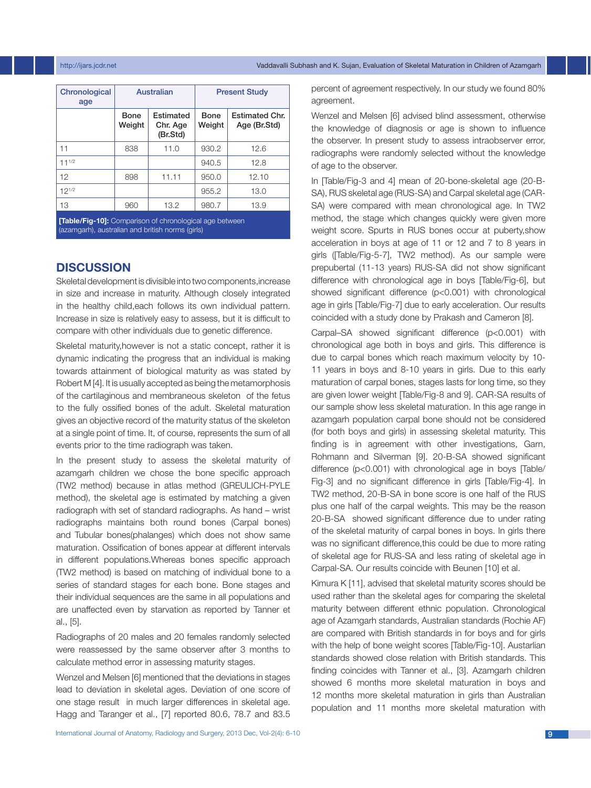### http://ijars.jcdr.net Vaddavalli Subhash and K. Sujan, Evaluation of Skeletal Maturation in Children of Azamgarh

| Chronological<br>age                                          | Australian     |                                   | <b>Present Study</b> |                                       |
|---------------------------------------------------------------|----------------|-----------------------------------|----------------------|---------------------------------------|
|                                                               | Bone<br>Weight | Estimated<br>Chr. Age<br>(Br.Std) | Bone<br>Weight       | <b>Estimated Chr.</b><br>Age (Br.Std) |
| 11                                                            | 838            | 11.0                              | 930.2                | 12.6                                  |
| $11^{1/2}$                                                    |                |                                   | 940.5                | 12.8                                  |
| 12                                                            | 898            | 11.11                             | 950.0                | 12.10                                 |
| $12^{1/2}$                                                    |                |                                   | 955.2                | 13.0                                  |
| 13                                                            | 960            | 13.2                              | 980.7                | 13.9                                  |
| <b>Table/Fig-101:</b> Comparison of chronological age between |                |                                   |                      |                                       |

(azamgarh), australian and british norms (girls)

# **DISCUSSION**

Skeletal development is divisible into two components,increase in size and increase in maturity. Although closely integrated in the healthy child,each follows its own individual pattern. Increase in size is relatively easy to assess, but it is difficult to compare with other individuals due to genetic difference.

Skeletal maturity,however is not a static concept, rather it is dynamic indicating the progress that an individual is making towards attainment of biological maturity as was stated by Robert M [4]. It is usually accepted as being the metamorphosis of the cartilaginous and membraneous skeleton of the fetus to the fully ossified bones of the adult. Skeletal maturation gives an objective record of the maturity status of the skeleton at a single point of time. It, of course, represents the sum of all events prior to the time radiograph was taken.

In the present study to assess the skeletal maturity of azamgarh children we chose the bone specific approach (TW2 method) because in atlas method (GREULICH-PYLE method), the skeletal age is estimated by matching a given radiograph with set of standard radiographs. As hand – wrist radiographs maintains both round bones (Carpal bones) and Tubular bones(phalanges) which does not show same maturation. Ossification of bones appear at different intervals in different populations.Whereas bones specific approach (TW2 method) is based on matching of individual bone to a series of standard stages for each bone. Bone stages and their individual sequences are the same in all populations and are unaffected even by starvation as reported by Tanner et al., [5].

Radiographs of 20 males and 20 females randomly selected were reassessed by the same observer after 3 months to calculate method error in assessing maturity stages.

Wenzel and Melsen [6] mentioned that the deviations in stages lead to deviation in skeletal ages. Deviation of one score of one stage result in much larger differences in skeletal age. Hagg and Taranger et al., [7] reported 80.6, 78.7 and 83.5 percent of agreement respectively. In our study we found 80% agreement.

Wenzel and Melsen [6] advised blind assessment, otherwise the knowledge of diagnosis or age is shown to influence the observer. In present study to assess intraobserver error, radiographs were randomly selected without the knowledge of age to the observer.

In [Table/Fig-3 and 4] mean of 20-bone-skeletal age (20-B-SA), RUS skeletal age (RUS-SA) and Carpal skeletal age (CAR-SA) were compared with mean chronological age. In TW2 method, the stage which changes quickly were given more weight score. Spurts in RUS bones occur at puberty,show acceleration in boys at age of 11 or 12 and 7 to 8 years in girls ([Table/Fig-5-7], TW2 method). As our sample were prepubertal (11-13 years) RUS-SA did not show significant difference with chronological age in boys [Table/Fig-6], but showed significant difference (p<0.001) with chronological age in girls [Table/Fig-7] due to early acceleration. Our results coincided with a study done by Prakash and Cameron [8].

Carpal–SA showed significant difference (p<0.001) with chronological age both in boys and girls. This difference is due to carpal bones which reach maximum velocity by 10- 11 years in boys and 8-10 years in girls. Due to this early maturation of carpal bones, stages lasts for long time, so they are given lower weight [Table/Fig-8 and 9]. CAR-SA results of our sample show less skeletal maturation. In this age range in azamgarh population carpal bone should not be considered (for both boys and girls) in assessing skeletal maturity. This finding is in agreement with other investigations, Garn, Rohmann and Silverman [9]. 20-B-SA showed significant difference (p<0.001) with chronological age in boys [Table/ Fig-3] and no significant difference in girls [Table/Fig-4]. In TW2 method, 20-B-SA in bone score is one half of the RUS plus one half of the carpal weights. This may be the reason 20-B-SA showed significant difference due to under rating of the skeletal maturity of carpal bones in boys. In girls there was no significant difference,this could be due to more rating of skeletal age for RUS-SA and less rating of skeletal age in Carpal-SA. Our results coincide with Beunen [10] et al.

Kimura K [11], advised that skeletal maturity scores should be used rather than the skeletal ages for comparing the skeletal maturity between different ethnic population. Chronological age of Azamgarh standards, Australian standards (Rochie AF) are compared with British standards in for boys and for girls with the help of bone weight scores [Table/Fig-10]. Austarlian standards showed close relation with British standards. This finding coincides with Tanner et al., [3]. Azamgarh children showed 6 months more skeletal maturation in boys and 12 months more skeletal maturation in girls than Australian population and 11 months more skeletal maturation with